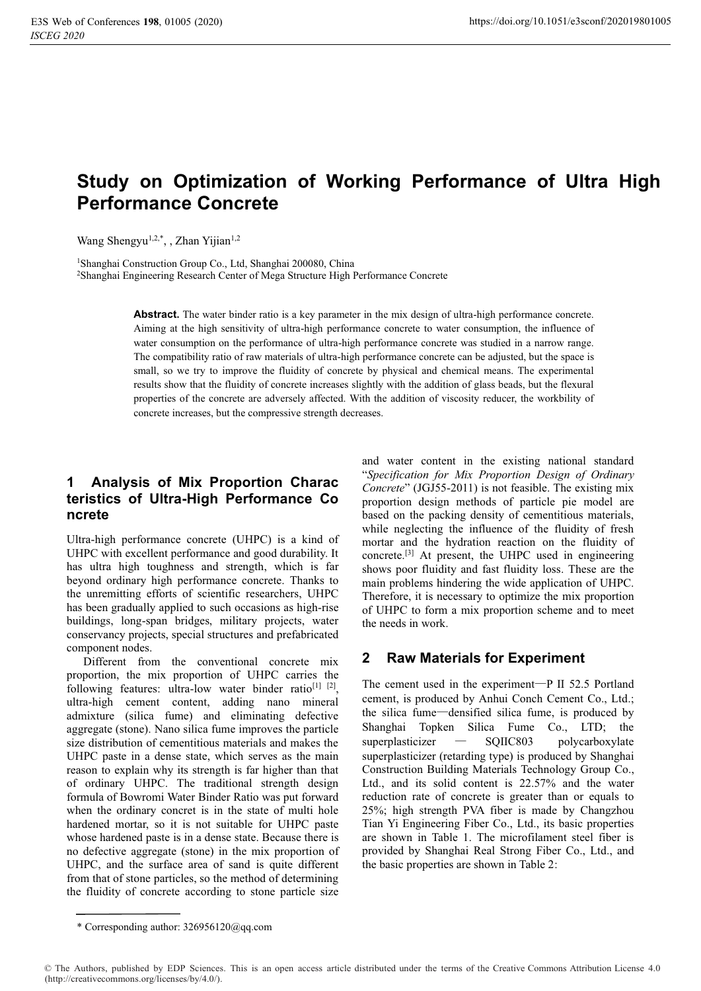# **Study on Optimization of Working Performance of Ultra High Performance Concrete**

Wang Shengyu<sup>1,2,\*</sup>, , Zhan Yijian<sup>1,2</sup>

1Shanghai Construction Group Co., Ltd, Shanghai 200080, China 2Shanghai Engineering Research Center of Mega Structure High Performance Concrete

> **Abstract.** The water binder ratio is a key parameter in the mix design of ultra-high performance concrete. Aiming at the high sensitivity of ultra-high performance concrete to water consumption, the influence of water consumption on the performance of ultra-high performance concrete was studied in a narrow range. The compatibility ratio of raw materials of ultra-high performance concrete can be adjusted, but the space is small, so we try to improve the fluidity of concrete by physical and chemical means. The experimental results show that the fluidity of concrete increases slightly with the addition of glass beads, but the flexural properties of the concrete are adversely affected. With the addition of viscosity reducer, the workbility of concrete increases, but the compressive strength decreases.

# **1 Analysis of Mix Proportion Charac teristics of Ultra-High Performance Co ncrete**

Ultra-high performance concrete (UHPC) is a kind of UHPC with excellent performance and good durability. It has ultra high toughness and strength, which is far beyond ordinary high performance concrete. Thanks to the unremitting efforts of scientific researchers, UHPC has been gradually applied to such occasions as high-rise buildings, long-span bridges, military projects, water conservancy projects, special structures and prefabricated component nodes.

Different from the conventional concrete mix proportion, the mix proportion of UHPC carries the following features: ultra-low water binder ratio<sup>[1] [2]</sup>, ultra-high cement content, adding nano mineral admixture (silica fume) and eliminating defective aggregate (stone). Nano silica fume improves the particle size distribution of cementitious materials and makes the UHPC paste in a dense state, which serves as the main reason to explain why its strength is far higher than that of ordinary UHPC. The traditional strength design formula of Bowromi Water Binder Ratio was put forward when the ordinary concret is in the state of multi hole hardened mortar, so it is not suitable for UHPC paste whose hardened paste is in a dense state. Because there is no defective aggregate (stone) in the mix proportion of UHPC, and the surface area of sand is quite different from that of stone particles, so the method of determining the fluidity of concrete according to stone particle size

and water content in the existing national standard "*Specification for Mix Proportion Design of Ordinary Concrete*" (JGJ55-2011) is not feasible. The existing mix proportion design methods of particle pie model are based on the packing density of cementitious materials, while neglecting the influence of the fluidity of fresh mortar and the hydration reaction on the fluidity of concrete.[3] At present, the UHPC used in engineering shows poor fluidity and fast fluidity loss. These are the main problems hindering the wide application of UHPC. Therefore, it is necessary to optimize the mix proportion of UHPC to form a mix proportion scheme and to meet the needs in work.

#### **2 Raw Materials for Experiment**

The cement used in the experiment— $P$  II 52.5 Portland cement, is produced by Anhui Conch Cement Co., Ltd.; the silica fume—densified silica fume, is produced by Shanghai Topken Silica Fume Co., LTD; the  $superplasticizer$   $\qquad \qquad \text{SOLIC803}$  polycarboxylate superplasticizer (retarding type) is produced by Shanghai Construction Building Materials Technology Group Co., Ltd., and its solid content is 22.57% and the water reduction rate of concrete is greater than or equals to 25%; high strength PVA fiber is made by Changzhou Tian Yi Engineering Fiber Co., Ltd., its basic properties are shown in Table 1. The microfilament steel fiber is provided by Shanghai Real Strong Fiber Co., Ltd., and the basic properties are shown in Table 2:

<sup>\*</sup> Corresponding author: 326956120@qq.com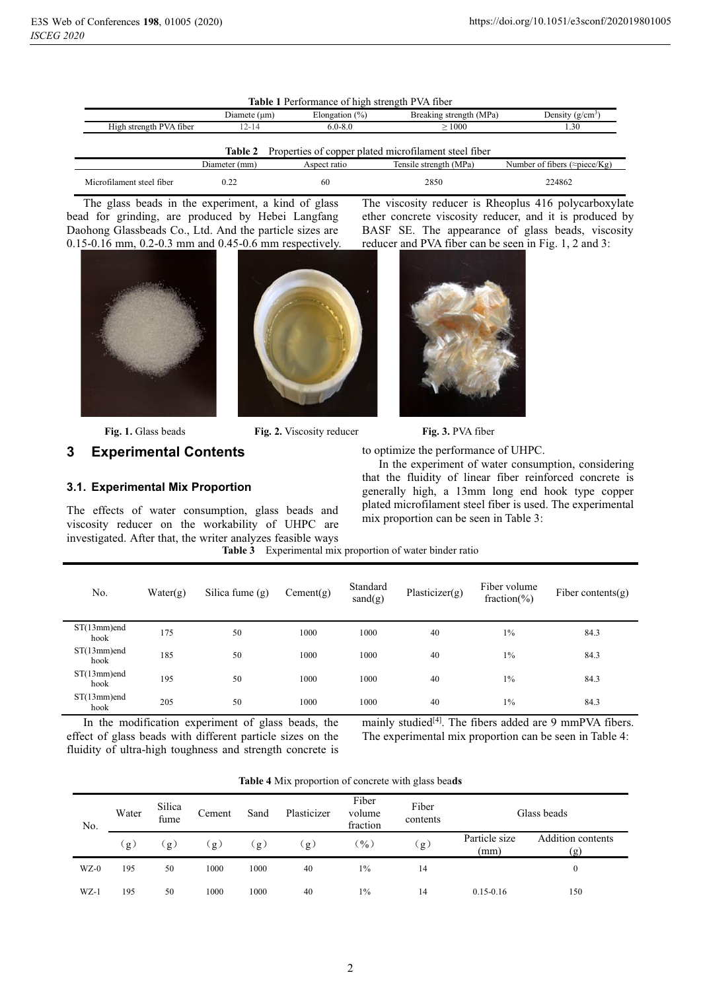| <b>Table 1</b> Performance of high strength PVA fiber |                                                                                                   |                   |                                                       |                    |  |  |  |
|-------------------------------------------------------|---------------------------------------------------------------------------------------------------|-------------------|-------------------------------------------------------|--------------------|--|--|--|
|                                                       | Diamete $(\mu m)$                                                                                 | Elongation $(\%)$ | Breaking strength (MPa)                               | Density $(g/cm^3)$ |  |  |  |
| High strength PVA fiber                               | $12 - 14$                                                                                         | $6.0 - 8.0$       | >1000                                                 | 1.30               |  |  |  |
|                                                       | Table 2                                                                                           |                   | Properties of copper plated microfilament steel fiber |                    |  |  |  |
|                                                       | Number of fibers ( $\approx$ piece/Kg)<br>Tensile strength (MPa)<br>Diameter (mm)<br>Aspect ratio |                   |                                                       |                    |  |  |  |
| Microfilament steel fiber                             | 0.22                                                                                              | 60                | 2850                                                  | 224862             |  |  |  |

The glass beads in the experiment, a kind of glass bead for grinding, are produced by Hebei Langfang Daohong Glassbeads Co., Ltd. And the particle sizes are 0.15-0.16 mm, 0.2-0.3 mm and 0.45-0.6 mm respectively.



**Fig. 1.** Glass beads **Fig. 2.** Viscosity reducer **Fig. 3.** PVA fiber

#### **3 Experimental Contents**

#### **3.1. Experimental Mix Proportion**

The effects of water consumption, glass beads and viscosity reducer on the workability of UHPC are investigated. After that, the writer analyzes feasible ways

 $\begin{array}{c} \hline \end{array}$ 

The viscosity reducer is Rheoplus 416 polycarboxylate ether concrete viscosity reducer, and it is produced by BASF SE. The appearance of glass beads, viscosity reducer and PVA fiber can be seen in Fig. 1, 2 and 3:



to optimize the performance of UHPC.

In the experiment of water consumption, considering that the fluidity of linear fiber reinforced concrete is generally high, a 13mm long end hook type copper plated microfilament steel fiber is used. The experimental mix proportion can be seen in Table 3:

| Table 3 Experimental mix proportion of water binder ratio |  |  |  |
|-----------------------------------------------------------|--|--|--|

| No.                    | Water(g) | Silica fume $(g)$ | Cement(g) | Standard<br>sand(g) | Plasticizer $(g)$ | Fiber volume<br>fraction(%) | Fiber contents $(g)$ |
|------------------------|----------|-------------------|-----------|---------------------|-------------------|-----------------------------|----------------------|
| $ST(13mm)$ end<br>hook | 175      | 50                | 1000      | 1000                | 40                | $1\%$                       | 84.3                 |
| $ST(13mm)$ end<br>hook | 185      | 50                | 1000      | 1000                | 40                | $1\%$                       | 84.3                 |
| $ST(13mm)$ end<br>hook | 195      | 50                | 1000      | 1000                | 40                | $1\%$                       | 84.3                 |
| $ST(13mm)$ end<br>hook | 205      | 50                | 1000      | 1000                | 40                | $1\%$                       | 84.3                 |

In the modification experiment of glass beads, the effect of glass beads with different particle sizes on the fluidity of ultra-high toughness and strength concrete is mainly studied<sup>[4]</sup>. The fibers added are 9 mmPVA fibers. The experimental mix proportion can be seen in Table 4:

| Table 4 Mix proportion of concrete with glass beads |  |  |  |  |
|-----------------------------------------------------|--|--|--|--|
|-----------------------------------------------------|--|--|--|--|

| No.    | Water | Silica<br>fume | Cement | Sand | Plasticizer | Fiber<br>volume<br>fraction | Fiber<br>contents |                       | Glass beads              |
|--------|-------|----------------|--------|------|-------------|-----------------------------|-------------------|-----------------------|--------------------------|
|        | (g)   | g              | g      | g    | $\cdot$ g)  | $\binom{0}{0}$              | $\mathbf{g}$      | Particle size<br>(mm) | Addition contents<br>(g) |
| $WZ-0$ | 195   | 50             | 1000   | 1000 | 40          | $1\%$                       | 14                |                       | $\theta$                 |
| $WZ-1$ | 195   | 50             | 1000   | 1000 | 40          | $1\%$                       | 14                | $0.15 - 0.16$         | 150                      |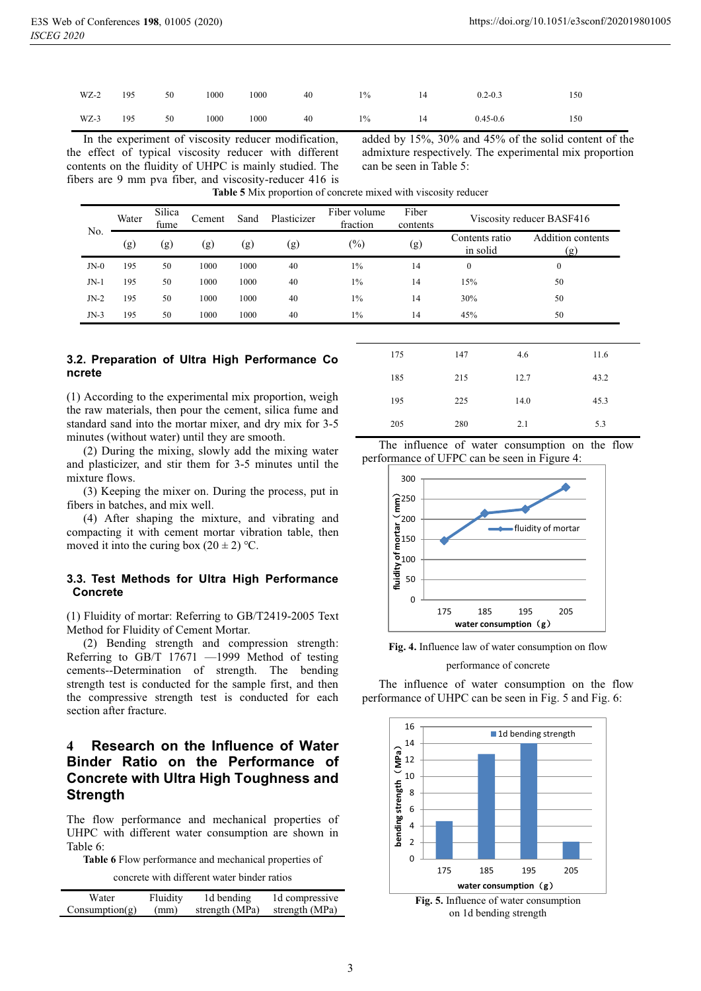| $WZ-2$ | 195 | 50 | 1000 | 1000 | 40 | $1\%$ | 14 | $0.2 - 0.3$  | 150 |
|--------|-----|----|------|------|----|-------|----|--------------|-----|
| $WZ-3$ | 195 | 50 | 1000 | 1000 | 40 | $1\%$ | 14 | $0.45 - 0.6$ | 150 |

In the experiment of viscosity reducer modification, the effect of typical viscosity reducer with different contents on the fluidity of UHPC is mainly studied. The fibers are 9 mm pva fiber, and viscosity-reducer 416 is

added by 15%, 30% and 45% of the solid content of the admixture respectively. The experimental mix proportion can be seen in Table 5:

| No.    | Water | Silica<br>fume | Cement | Sand | Plasticizer | Fiber volume<br>fraction | Fiber<br>contents |                            | Viscosity reducer BASF416      |
|--------|-------|----------------|--------|------|-------------|--------------------------|-------------------|----------------------------|--------------------------------|
|        | (g)   | (g)            | (g)    | (g)  | (g)         | $(\%)$                   | (g)               | Contents ratio<br>in solid | <b>Addition contents</b><br>g. |
| $JN-0$ | 195   | 50             | 1000   | 1000 | 40          | $1\%$                    | 14                | $\Omega$                   | 0                              |
| JN-1   | 195   | 50             | 1000   | 1000 | 40          | $1\%$                    | 14                | 15%                        | 50                             |
| $JN-2$ | 195   | 50             | 1000   | 1000 | 40          | $1\%$                    | 14                | 30%                        | 50                             |
| $JN-3$ | 195   | 50             | 1000   | 1000 | 40          | $1\%$                    | 14                | 45%                        | 50                             |

**Table 5** Mix proportion of concrete mixed with viscosity reducer

#### **3.2. Preparation of Ultra High Performance Co ncrete**

(1) According to the experimental mix proportion, weigh the raw materials, then pour the cement, silica fume and standard sand into the mortar mixer, and dry mix for 3-5 minutes (without water) until they are smooth.

(2) During the mixing, slowly add the mixing water and plasticizer, and stir them for 3-5 minutes until the mixture flows.

(3) Keeping the mixer on. During the process, put in fibers in batches, and mix well.

(4) After shaping the mixture, and vibrating and compacting it with cement mortar vibration table, then moved it into the curing box  $(20 \pm 2)$  °C.

#### **3.3. Test Methods for Ultra High Performance Concrete**

(1) Fluidity of mortar: Referring to GB/T2419-2005 Text Method for Fluidity of Cement Mortar.

(2) Bending strength and compression strength: Referring to GB/T 17671 —1999 Method of testing cements--Determination of strength. The bending strength test is conducted for the sample first, and then the compressive strength test is conducted for each section after fracture.

# **4 Research on the Influence of Water Binder Ratio on the Performance of Concrete with Ultra High Toughness and Strength**

The flow performance and mechanical properties of UHPC with different water consumption are shown in Table 6:

**Table 6** Flow performance and mechanical properties of

concrete with different water binder ratios

| Water          | Fluidity | 1d bending     | 1d compressive |
|----------------|----------|----------------|----------------|
| Consumption(g) | (mm)     | strength (MPa) | strength (MPa) |

| 175 | 147 | 4.6  | 11.6 |
|-----|-----|------|------|
| 185 | 215 | 12.7 | 43.2 |
| 195 | 225 | 14.0 | 45.3 |
| 205 | 280 | 2.1  | 5.3  |

The influence of water consumption on the flow performance of UFPC can be seen in Figure 4:



**Fig. 4.** Influence law of water consumption on flow

performance of concrete

The influence of water consumption on the flow performance of UHPC can be seen in Fig. 5 and Fig. 6:

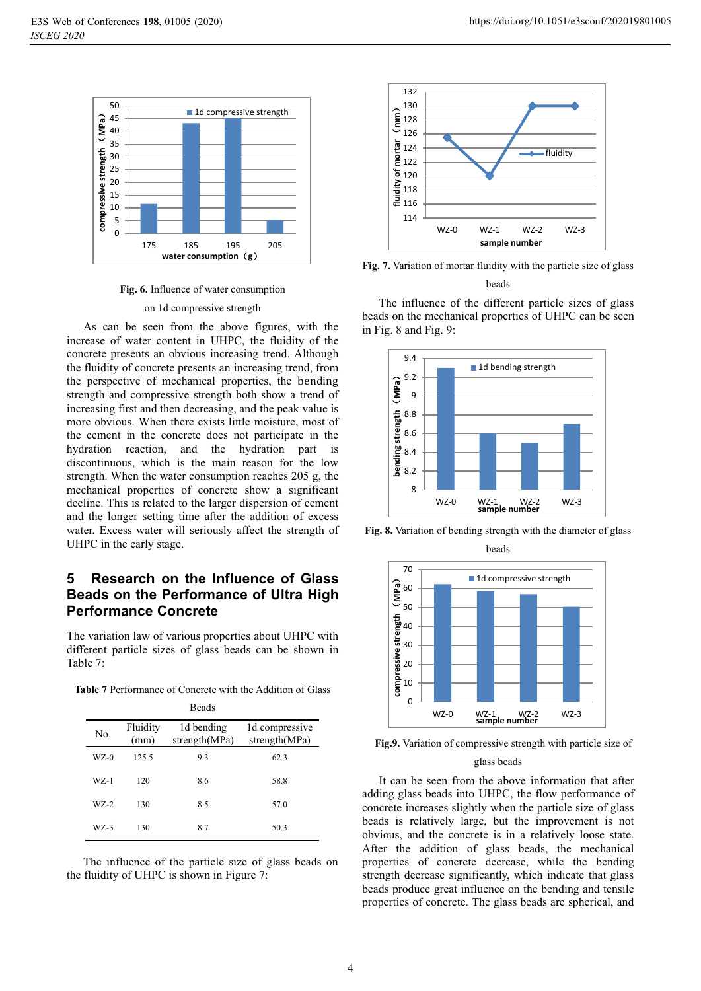

**Fig. 6.** Influence of water consumption

#### on 1d compressive strength

As can be seen from the above figures, with the increase of water content in UHPC, the fluidity of the concrete presents an obvious increasing trend. Although the fluidity of concrete presents an increasing trend, from the perspective of mechanical properties, the bending strength and compressive strength both show a trend of increasing first and then decreasing, and the peak value is more obvious. When there exists little moisture, most of the cement in the concrete does not participate in the hydration reaction, and the hydration part is discontinuous, which is the main reason for the low strength. When the water consumption reaches 205 g, the mechanical properties of concrete show a significant decline. This is related to the larger dispersion of cement and the longer setting time after the addition of excess water. Excess water will seriously affect the strength of UHPC in the early stage.

# **5 Research on the Influence of Glass Beads on the Performance of Ultra High Performance Concrete**

The variation law of various properties about UHPC with different particle sizes of glass beads can be shown in Table 7:

**Table 7** Performance of Concrete with the Addition of Glass

|        |                  | <b>Beads</b>                |                                 |
|--------|------------------|-----------------------------|---------------------------------|
| No.    | Fluidity<br>(mm) | 1d bending<br>strength(MPa) | 1d compressive<br>strength(MPa) |
| $WZ-0$ | 125.5            | 9.3                         | 62.3                            |
| WZ-1   | 120              | 8.6                         | 58.8                            |
| WZ-2   | 130              | 8.5                         | 57.0                            |
| $WZ-3$ | 130              | 8.7                         | 50.3                            |

The influence of the particle size of glass beads on the fluidity of UHPC is shown in Figure 7:



**Fig. 7.** Variation of mortar fluidity with the particle size of glass

beads

The influence of the different particle sizes of glass beads on the mechanical properties of UHPC can be seen in Fig. 8 and Fig. 9:



**Fig. 8.** Variation of bending strength with the diameter of glass beads



**Fig.9.** Variation of compressive strength with particle size of

#### glass beads

It can be seen from the above information that after adding glass beads into UHPC, the flow performance of concrete increases slightly when the particle size of glass beads is relatively large, but the improvement is not obvious, and the concrete is in a relatively loose state. After the addition of glass beads, the mechanical properties of concrete decrease, while the bending strength decrease significantly, which indicate that glass beads produce great influence on the bending and tensile properties of concrete. The glass beads are spherical, and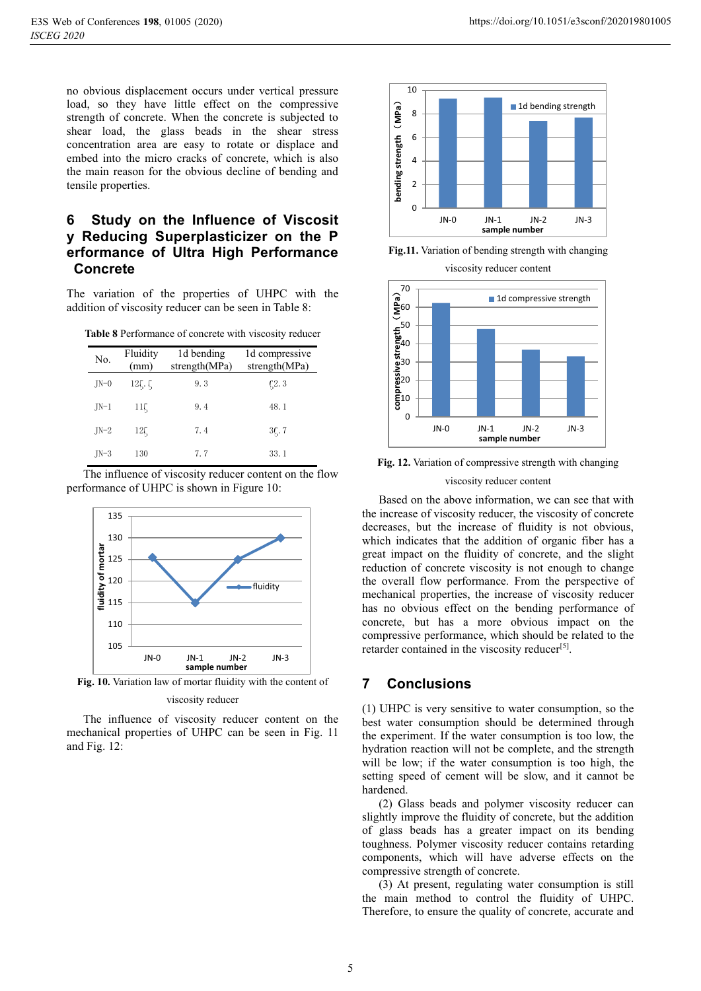no obvious displacement occurs under vertical pressure load, so they have little effect on the compressive strength of concrete. When the concrete is subjected to shear load, the glass beads in the shear stress concentration area are easy to rotate or displace and embed into the micro cracks of concrete, which is also the main reason for the obvious decline of bending and tensile properties.

# **6 Study on the Influence of Viscosit y Reducing Superplasticizer on the P erformance of Ultra High Performance Concrete**

The variation of the properties of UHPC with the addition of viscosity reducer can be seen in Table 8:

| <b>Table 8</b> Performance of concrete with viscosity reducer |  |  |  |  |
|---------------------------------------------------------------|--|--|--|--|
|---------------------------------------------------------------|--|--|--|--|

| No.    | Fluidity<br>(mm) | 1d bending<br>strength(MPa) | 1d compressive<br>strength(MPa) |
|--------|------------------|-----------------------------|---------------------------------|
| $JN=0$ | 12,              | 9.3                         | $\zeta$ 2.3                     |
| $JN-1$ | $11\zeta$        | 9.4                         | 48.1                            |
| $IN-2$ | $12\zeta$        | 7.4                         | $35$ . 7                        |
| $IN-3$ | 130              | 7.7                         | 33.1                            |

The influence of viscosity reducer content on the flow performance of UHPC is shown in Figure 10:



**Fig. 10.** Variation law of mortar fluidity with the content of

#### viscosity reducer

The influence of viscosity reducer content on the mechanical properties of UHPC can be seen in Fig. 11 and Fig. 12:



**Fig.11.** Variation of bending strength with changing

viscosity reducer content



**Fig. 12.** Variation of compressive strength with changing

#### viscosity reducer content

Based on the above information, we can see that with the increase of viscosity reducer, the viscosity of concrete decreases, but the increase of fluidity is not obvious, which indicates that the addition of organic fiber has a great impact on the fluidity of concrete, and the slight reduction of concrete viscosity is not enough to change the overall flow performance. From the perspective of mechanical properties, the increase of viscosity reducer has no obvious effect on the bending performance of concrete, but has a more obvious impact on the compressive performance, which should be related to the retarder contained in the viscosity reducer<sup>[5]</sup>.

# **7 Conclusions**

(1) UHPC is very sensitive to water consumption, so the best water consumption should be determined through the experiment. If the water consumption is too low, the hydration reaction will not be complete, and the strength will be low; if the water consumption is too high, the setting speed of cement will be slow, and it cannot be hardened.

(2) Glass beads and polymer viscosity reducer can slightly improve the fluidity of concrete, but the addition of glass beads has a greater impact on its bending toughness. Polymer viscosity reducer contains retarding components, which will have adverse effects on the compressive strength of concrete.

(3) At present, regulating water consumption is still the main method to control the fluidity of UHPC. Therefore, to ensure the quality of concrete, accurate and